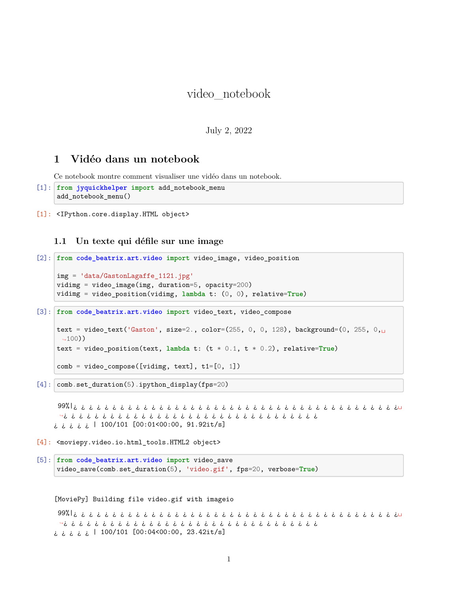# video\_notebook

### July 2, 2022

## **1 Vidéo dans un notebook**

Ce notebook montre comment visualiser une vidéo dans un notebook.

```
[1]: from jyquickhelper import add_notebook_menu
     add_notebook_menu()
```
[1]: <IPython.core.display.HTML object>

### **1.1 Un texte qui défile sur une image**

```
[2]: from code_beatrix.art.video import video_image, video_position
     img = 'data/GastonLagaffe_1121.jpg'
     vidimg = video_image(img, duration=5, opacity=200)
     vidimg = video_position(vidimg, lambda t: (0, 0), relative=True)
```
[3]: **from code\_beatrix.art.video import** video\_text, video\_compose

```
text = video_text('Gaston', size=2., color=(255, 0, 0, 128), background=(0, 255, 0,\Box-100))
text = video_position(text, lambda t: (t * 0.1, t * 0.2), relative=True)
```

```
comb = video_{\text{composite}}([viding, text], tl=[0, 1])
```
[4]: comb.set\_duration(5).ipython\_display(fps=20)

99%|¿ ¿ ¿ ¿ ¿ ¿ ¿ ¿ ¿ ¿ ¿ ¿ ¿ ¿ ¿ ¿ ¿ ¿ ¿ ¿ ¿ ¿ ¿ ¿ ¿ ¿ ¿ ¿ ¿ ¿ ¿ ¿ ¿ ¿ ¿ ¿ ¿ ¿ ¿ ¿ ¿ ¿␣ ↪¿ ¿ ¿ ¿ ¿ ¿ ¿ ¿ ¿ ¿ ¿ ¿ ¿ ¿ ¿ ¿ ¿ ¿ ¿ ¿ ¿ ¿ ¿ ¿ ¿ ¿ ¿ ¿ ¿ ¿ ¿ ¿ ¿  $i, j, j, j, l$  100/101 [00:01<00:00, 91.92it/s]

- [4]: <moviepy.video.io.html\_tools.HTML2 object>
- [5]: **from code\_beatrix.art.video import** video\_save video\_save(comb.set\_duration(5), 'video.gif', fps=20, verbose=**True**)

[MoviePy] Building file video.gif with imageio

99%|¿ ¿ ¿ ¿ ¿ ¿ ¿ ¿ ¿ ¿ ¿ ¿ ¿ ¿ ¿ ¿ ¿ ¿ ¿ ¿ ¿ ¿ ¿ ¿ ¿ ¿ ¿ ¿ ¿ ¿ ¿ ¿ ¿ ¿ ¿ ¿ ¿ ¿ ¿ ¿ ¿ ¿␣ ↪¿ ¿ ¿ ¿ ¿ ¿ ¿ ¿ ¿ ¿ ¿ ¿ ¿ ¿ ¿ ¿ ¿ ¿ ¿ ¿ ¿ ¿ ¿ ¿ ¿ ¿ ¿ ¿ ¿ ¿ ¿ ¿ ¿  $i, j, j, j, l$  100/101 [00:04<00:00, 23.42it/s]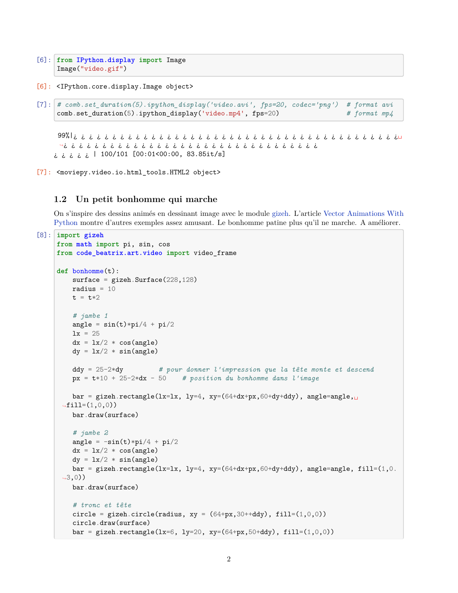```
[6]: from IPython.display import Image
     Image("video.gif")
```
[6]: <IPython.core.display.Image object>

```
[7]: # comb.set_duration(5).ipython_display('video.avi', fps=20, codec='png') # format avi
    comb.set_duration(5).ipython_display('video.mp4', fps=20) # format mp4
```
99%|¿ ¿ ¿ ¿ ¿ ¿ ¿ ¿ ¿ ¿ ¿ ¿ ¿ ¿ ¿ ¿ ¿ ¿ ¿ ¿ ¿ ¿ ¿ ¿ ¿ ¿ ¿ ¿ ¿ ¿ ¿ ¿ ¿ ¿ ¿ ¿ ¿ ¿ ¿ ¿ ¿ ¿␣ ↪¿ ¿ ¿ ¿ ¿ ¿ ¿ ¿ ¿ ¿ ¿ ¿ ¿ ¿ ¿ ¿ ¿ ¿ ¿ ¿ ¿ ¿ ¿ ¿ ¿ ¿ ¿ ¿ ¿ ¿ ¿ ¿ ¿ ¿ ¿ ¿ ¿ ¿ | 100/101 [00:01<00:00, 83.85it/s]

[7]: <moviepy.video.io.html\_tools.HTML2 object>

#### **1.2 Un petit bonhomme qui marche**

On s'inspire des dessins animés en dessinant image avec le module [gizeh](https://github.com/Zulko/gizeh). L'article [Vector Animations With](http://zulko.github.io/blog/2014/09/20/vector-animations-with-python/) [Python](http://zulko.github.io/blog/2014/09/20/vector-animations-with-python/) montre d'autres exemples assez amusant. Le bonhomme patine plus qu'il ne marche. A améliorer.

```
[8]: import gizeh
     from math import pi, sin, cos
     from code_beatrix.art.video import video_frame
     def bonhomme(t):
         surface = gizeh.Surface(228,128)radius = 10t = t * 2# jambe 1
         angle = sin(t)*pi/4 + pi/21x = 25dx = 1x/2 * cos(angle)dy = 1x/2 * sin(angle)ddy = 25-2*dy # pour donner l'impression que la tête monte et descend
         px = t*10 + 25-2*dx - 50 # position du bonhomme dans l'image
         bar = gizeh.rectangle(lx=lx, ly=4, xy=(64+dx+px,60+dy+ddy), angle=angle,\Box\rightarrowfill=(1,0,0))
         bar.draw(surface)
         # jambe 2
         angle = -sin(t)*pi/4 + pi/2dx = \frac{lx}{2} * \cos(\text{angle})dy = \frac{lx}{2} * sin(\text{angle})bar = gizeh.rectangle(lx=lx, ly=4, xy=(64+dx+px,60+dy+ddy), angle=angle, fill=(1, 0.\left(43,0\right))
         bar.draw(surface)
         # tronc et tête
         circle = gizeh.circle(radius, xy = (64+px,30++ddy), fill=(1,0,0))
         circle.draw(surface)
         bar = gizeh.rectangle(1x=6, 1y=20, xy=(64+px, 50+ddy), fill=(1,0,0))
```